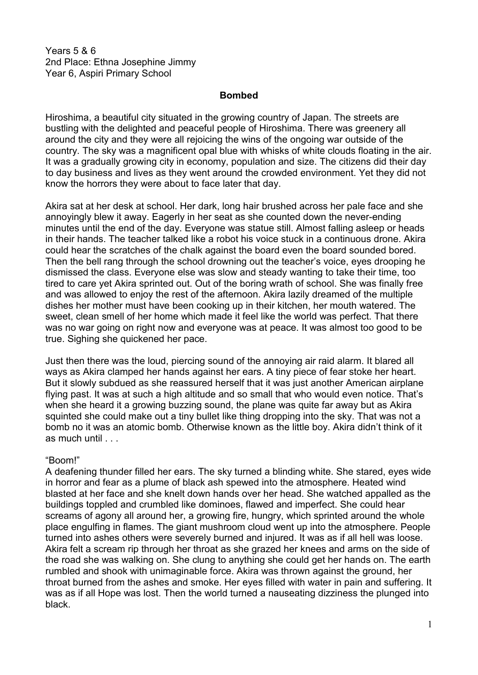Years 5 & 6 2nd Place: Ethna Josephine Jimmy Year 6, Aspiri Primary School

## **Bombed**

Hiroshima, a beautiful city situated in the growing country of Japan. The streets are bustling with the delighted and peaceful people of Hiroshima. There was greenery all around the city and they were all rejoicing the wins of the ongoing war outside of the country. The sky was a magnificent opal blue with whisks of white clouds floating in the air. It was a gradually growing city in economy, population and size. The citizens did their day to day business and lives as they went around the crowded environment. Yet they did not know the horrors they were about to face later that day.

Akira sat at her desk at school. Her dark, long hair brushed across her pale face and she annoyingly blew it away. Eagerly in her seat as she counted down the never-ending minutes until the end of the day. Everyone was statue still. Almost falling asleep or heads in their hands. The teacher talked like a robot his voice stuck in a continuous drone. Akira could hear the scratches of the chalk against the board even the board sounded bored. Then the bell rang through the school drowning out the teacher's voice, eyes drooping he dismissed the class. Everyone else was slow and steady wanting to take their time, too tired to care yet Akira sprinted out. Out of the boring wrath of school. She was finally free and was allowed to enjoy the rest of the afternoon. Akira lazily dreamed of the multiple dishes her mother must have been cooking up in their kitchen, her mouth watered. The sweet, clean smell of her home which made it feel like the world was perfect. That there was no war going on right now and everyone was at peace. It was almost too good to be true. Sighing she quickened her pace.

Just then there was the loud, piercing sound of the annoying air raid alarm. It blared all ways as Akira clamped her hands against her ears. A tiny piece of fear stoke her heart. But it slowly subdued as she reassured herself that it was just another American airplane flying past. It was at such a high altitude and so small that who would even notice. That's when she heard it a growing buzzing sound, the plane was quite far away but as Akira squinted she could make out a tiny bullet like thing dropping into the sky. That was not a bomb no it was an atomic bomb. Otherwise known as the little boy. Akira didn't think of it as much until . . .

## "Boom!"

A deafening thunder filled her ears. The sky turned a blinding white. She stared, eyes wide in horror and fear as a plume of black ash spewed into the atmosphere. Heated wind blasted at her face and she knelt down hands over her head. She watched appalled as the buildings toppled and crumbled like dominoes, flawed and imperfect. She could hear screams of agony all around her, a growing fire, hungry, which sprinted around the whole place engulfing in flames. The giant mushroom cloud went up into the atmosphere. People turned into ashes others were severely burned and injured. It was as if all hell was loose. Akira felt a scream rip through her throat as she grazed her knees and arms on the side of the road she was walking on. She clung to anything she could get her hands on. The earth rumbled and shook with unimaginable force. Akira was thrown against the ground, her throat burned from the ashes and smoke. Her eyes filled with water in pain and suffering. It was as if all Hope was lost. Then the world turned a nauseating dizziness the plunged into black.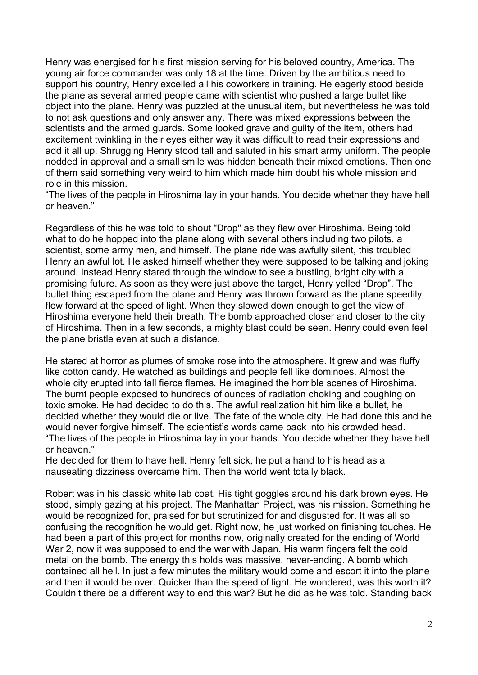Henry was energised for his first mission serving for his beloved country, America. The young air force commander was only 18 at the time. Driven by the ambitious need to support his country, Henry excelled all his coworkers in training. He eagerly stood beside the plane as several armed people came with scientist who pushed a large bullet like object into the plane. Henry was puzzled at the unusual item, but nevertheless he was told to not ask questions and only answer any. There was mixed expressions between the scientists and the armed guards. Some looked grave and guilty of the item, others had excitement twinkling in their eyes either way it was difficult to read their expressions and add it all up. Shrugging Henry stood tall and saluted in his smart army uniform. The people nodded in approval and a small smile was hidden beneath their mixed emotions. Then one of them said something very weird to him which made him doubt his whole mission and role in this mission.

"The lives of the people in Hiroshima lay in your hands. You decide whether they have hell or heaven."

Regardless of this he was told to shout "Drop" as they flew over Hiroshima. Being told what to do he hopped into the plane along with several others including two pilots, a scientist, some army men, and himself. The plane ride was awfully silent, this troubled Henry an awful lot. He asked himself whether they were supposed to be talking and joking around. Instead Henry stared through the window to see a bustling, bright city with a promising future. As soon as they were just above the target, Henry yelled "Drop". The bullet thing escaped from the plane and Henry was thrown forward as the plane speedily flew forward at the speed of light. When they slowed down enough to get the view of Hiroshima everyone held their breath. The bomb approached closer and closer to the city of Hiroshima. Then in a few seconds, a mighty blast could be seen. Henry could even feel the plane bristle even at such a distance.

He stared at horror as plumes of smoke rose into the atmosphere. It grew and was fluffy like cotton candy. He watched as buildings and people fell like dominoes. Almost the whole city erupted into tall fierce flames. He imagined the horrible scenes of Hiroshima. The burnt people exposed to hundreds of ounces of radiation choking and coughing on toxic smoke. He had decided to do this. The awful realization hit him like a bullet, he decided whether they would die or live. The fate of the whole city. He had done this and he would never forgive himself. The scientist's words came back into his crowded head. "The lives of the people in Hiroshima lay in your hands. You decide whether they have hell or heaven."

He decided for them to have hell. Henry felt sick, he put a hand to his head as a nauseating dizziness overcame him. Then the world went totally black.

Robert was in his classic white lab coat. His tight goggles around his dark brown eyes. He stood, simply gazing at his project. The Manhattan Project, was his mission. Something he would be recognized for, praised for but scrutinized for and disgusted for. It was all so confusing the recognition he would get. Right now, he just worked on finishing touches. He had been a part of this project for months now, originally created for the ending of World War 2, now it was supposed to end the war with Japan. His warm fingers felt the cold metal on the bomb. The energy this holds was massive, never-ending. A bomb which contained all hell. In just a few minutes the military would come and escort it into the plane and then it would be over. Quicker than the speed of light. He wondered, was this worth it? Couldn't there be a different way to end this war? But he did as he was told. Standing back